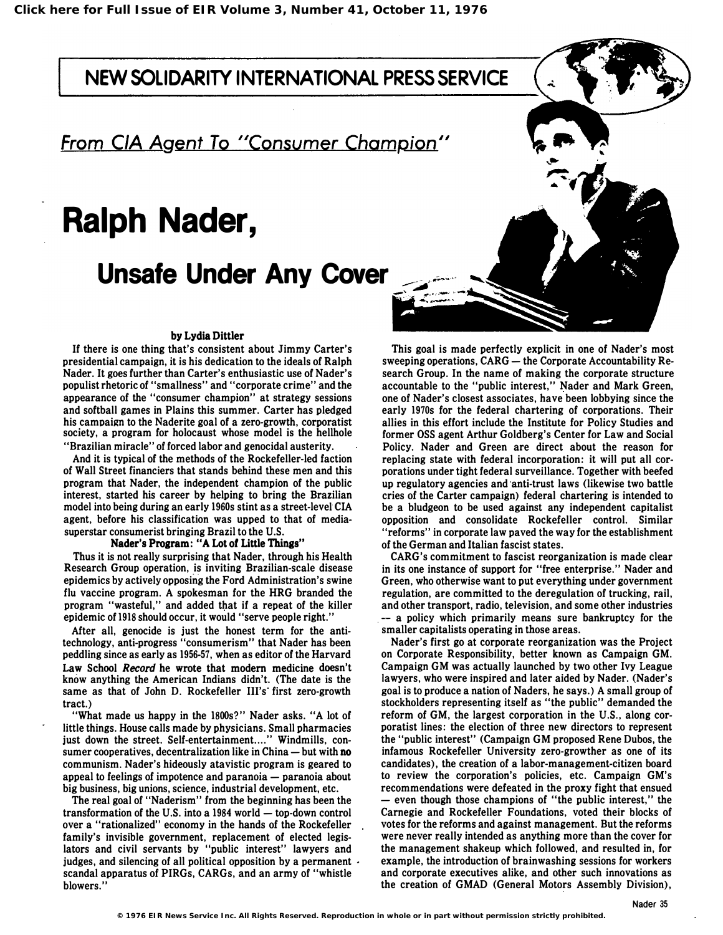NEW SOLIDARITY INTERNATIONAL PRESS SERVICE

From CIA Agent To "Consumer Champion"

# Ralph Nader,

Unsafe Under Any Cover

## by Lydia Dittler

If there is one thing that's consistent about Jimmy Carter's presidential campaign, it is his dedication to the ideals of Ralph Nader. It goes further than Carter's enthusiastic use of Nader's populist rhetoric of "smallness" and "corporate crime" and the appearance of the "consumer champion" at strategy sessions and softball games in Plains this summer. Carter has pledged his campaign to the Naderite goal of a zero-growth, corporatist society, a program for holocaust whose model is the hellhole "Brazilian miracle" of forced labor and genocidal austerity.

And it is typical of the methods of the Rockefeller-led faction of Wall Street financiers that stands behind these men and this program that Nader, the independent champion of the public interest, started his career by helping to bring the Brazilian model into being during an early 1960s stint as a street-level CIA agent, before his classification was upped to that of mediasuperstar consumerist bringing Brazil to the U.S.

## Nader's Program: "A Lot of Little Things"

Thus it is not really surprising that Nader, through his Health Research Group operation, is inviting Brazilian-scale disease epidemics by actively opposing the Ford Administration's swine flu vaccine program. A spokesman for the HRG branded the program "wasteful," and added that if a repeat of the killer epidemic of 1918 should occur, it would "serve people right."

After all, genocide is just the honest term for the antitechnology, anti-progress "consumerism" that Nader has been peddling since as early as 1956-57, when as editor of the Harvard Law School Record he wrote that modem medicine doesn't know anything the American Indians didn't. (The date is the same as that of John D. Rockefeller Ill's first zero-growth tract.)

"What made us happy in the 1800s?" Nader asks. "A lot of little things. House calls made by physicians. Small pharmacies just down the street. Self-entertainment...." Windmills, consumer cooperatives, decentralization like in China  $-$  but with no communism. Nader's hideously atavistic program is geared to appeal to feelings of impotence and paranoia — paranoia about big business, big unions, science, industrial development, etc.

The real goal of "Naderism" from the beginning has been the transformation of the U.S. into a  $1984$  world  $-$  top-down control over a "rationalized" economy in the hands of the Rockefeller family's invisible government, replacement of elected legislators and civil servants by "public interest" lawyers and judges, and silencing of all political opposition by a permanent . scandal apparatus of PIRGs, CARGs, and an army of "whistle blowers."

This goal is made perfectly explicit in one of Nader's most sweeping operations,  $CARG -$  the Corporate Accountability Research Group. In the name of making the corporate structure accountable to the "public interest," Nader and Mark Green one of Nader's closest associates, have been lobbying since th� early 1970s for the federal chartering of corporations. Their allies in this effort include the Institute for Policy Studies and former OSS agent Arthur Goldberg's Center for Law and Social Policy. Nader and Green are direct about the reason for replacing state with federal incorporation: it will put all corporations under tight federal surveillance. Together with beefed up regulatory agencies and anti-trust laws (likewise two battle cries of the Carter campaign) federal chartering is intended to be a bludgeon to be used against any independent capitalist opposition and consolidate Rockefeller control. Similar "reforms" in corporate law paved the way for the establishment of the German and Italian fascist states.

CARG's commitment to fascist reorganization is made clear in its one instance of support for "free enterprise." Nader and Green, who otherwise want to put everything under government regulation, are committed to the deregulation of trucking, rail, and other transport, radio, television, and some other industries -- a policy which primarily means sure bankruptcy for the smaller capitalists operating in those areas.

Nader's first go at corporate reorganization was the Project on Corporate Responsibility, better known as Campaign GM. Campaign GM was actually launched by two other Ivy League lawyers, who were inspired and later aided by Nader. (Nader's goal is to produce a nation of Naders, he says.) A small group of stockholders representing itself as "the public" demanded the reform of GM, the largest corporation in the U.S., along corporatist lines: the election of three new directors to represent the "public interest" (Campaign GM proposed Rene Dubos, the infamous Rockefeller University zero-growther as one of its candidates), the creation of a labor-management-citizen board to review the corporation's policies, etc. Campaign GM's recommendations were defeated in the proxy fight that ensued - even though those champions of "the public interest," the Carnegie and Rockefeller Foundations, voted their blocks of votes for the reforms and against management. But the reforms were never really intended as anything more than the cover for the management shakeup which followed, and resulted in, for example, the introduction of brainwashing sessions for workers and corporate executives alike, and other such innovations as the creation of GMAD (General Motors Assembly Division),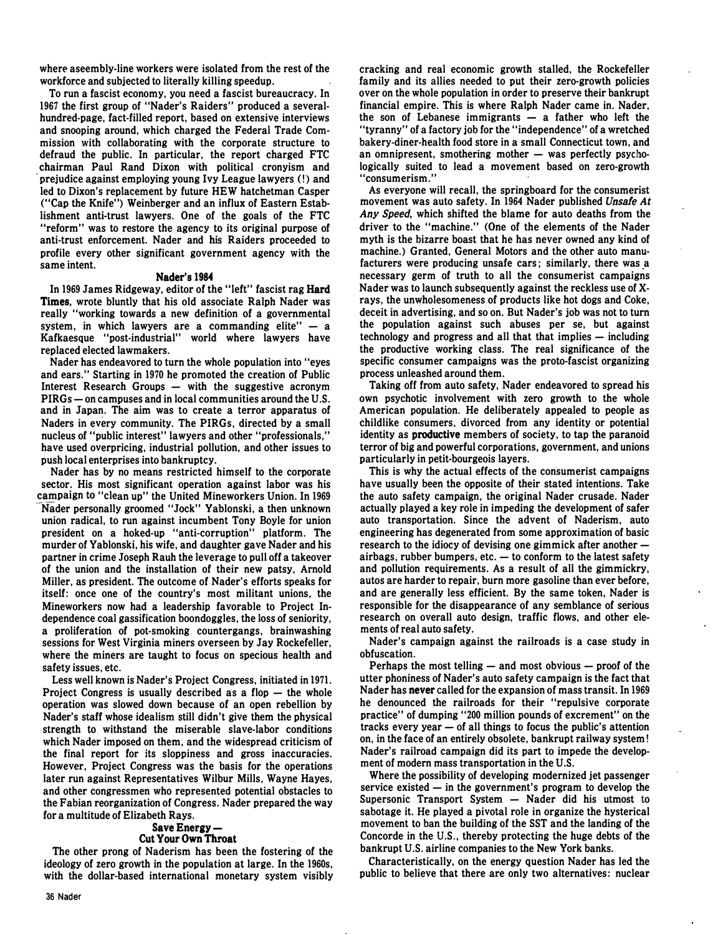where aseembly-line workers were isolated from the rest of the workforce and subjected to literally killing speedup.

To run a fascist economy. you need a fascist bureaucracy. In 1967 the first group of "Nader's Raiders" produced a severalhundred-page. fact-filled report. based on extensive interviews and snooping around. which charged the Federal Trade Commission with collaborating with the corporate structure to defraud the public. In particular. the report charged FTC chairman Paul Rand Dixon with political cronyism and prejudice against employing young Ivy League lawyers (!) and led to Dixon's replacement by future HEW hatchetman Casper ("Cap the Knife") Weinberger and an influx of Eastern Establishment anti-trust lawyers. One of the goals of the FTC "reform" was to restore the agency to its original purpose of anti-trust enforcement. Nader and his Raiders proceeded to profile every other significant government agency with the same intent.

#### Nader's 1984

In 1969 James Ridgeway. editor of the "left" fascist rag Hard Times. wrote bluntly that his old associate Ralph Nader was really "working towards a new definition of a governmental system, in which lawyers are a commanding elite"  $-$  a Kafkaesque "post-industrial" world where lawyers have replaced elected lawmakers.

Nader has endeavored to turn the whole population into "eyes and ears." Starting in 1970 he promoted the creation of Public Interest Research Groups  $-$  with the suggestive acronym PIRGs – on campuses and in local communities around the U.S. and in Japan. The aim was to create a terror apparatus of Naders in every community. The PIRGs. directed by a small nucleus of "public interest" lawyers and other "professionals." have used overpricing. industrial pollution. and other issues to push local enterprises into bankruptcy.

Nader has by no means restricted himself to the corporate sector. His most significant operation against labor was his campaign to "clean up" the United Mineworkers Union. In 1969 Nader personally groomed "Jock" Yablonski, a then unknown union radical. to run against incumbent Tony Boyle for union president on a hoked-up "anti-corruption" platform. The murder of Yablonski. his wife. and daughter gave Nader and his partner in crime Joseph Rauh the leverage to pull off a takeover of the union and the installation of their new patsy. Arnold Miller. as president. The outcome of Nader's efforts speaks for itself: once one of the country's most militant unions. the Mineworkers now had a leadership favorable to Project Independence coal gassification boondoggles. the loss of seniority. a proliferation of pot-smoking countergangs. brainwashing sessions for West Virginia miners overseen by Jay Rockefeller. where the miners are taught to focus on specious health and safety issues. etc.

Less well known is Nader's Project Congress. initiated in 1971. Project Congress is usually described as a flop  $-$  the whole operation was slowed down because of an open rebellion by Nader's staff whose idealism still didn't give them the physical strength to withstand the miserable slave-labor conditions which Nader imposed on them. and the widespread criticism of the final report for its sloppiness and gross inaccuracies. However. Project Congress was the basis for the operations later run against Representatives Wilbur Mills. Wayne Hayes. and other congressmen who represented potential obstacles to the Fabian reorganization of Congress. Nader prepared the way for a multitude of Elizabeth Rays.

#### Save Energy-Cut Your Own Throat

The other prong. of Naderism has been the fostering of the ideology of zero growth in the population at large. In the 1960s, with the dollar-based international monetary system visibly cracking and real economic growth stalled. the Rockefeller family and its allies needed to put their zero-growth policies over on the whole population in order to preserve their bankrupt financial empire. This is where Ralph Nader came in. Nader. the son of Lebanese immigrants  $-$  a father who left the "tyranny" of a factory job for the "independence" of a wretched bakery-diner-health food store in a small Connecticut town. and an omnipresent, smothering mother  $-$  was perfectly psychologically suited to lead a movement based on zero-growth "consumerism."

As everyone will recall. the springboard for the consumerist movement was auto safety. In 1964 Nader published Unsafe At Any Speed. which shifted the blame for auto deaths from the driver to the "machine." (One of the elements of the Nader myth is the bizarre boast that he has never owned any kind of machine.) Granted. General Motors and the other auto manufacturers were producing unsafe cars; similarly, there was a necessary germ of truth to all the consumerist campaigns Nader was to launch subsequently against the reckless use of Xrays. the unwholesomeness of products like hot dogs and Coke. deceit in advertising. and so on. But Nader's job was not to turn the population against such abuses per se. but against technology and progress and all that that implies  $-$  including the productive working class. The real significance of the specific consumer campaigns was the proto-fascist organizing process unleashed around them.

Taking off from auto safety. Nader endeavored to spread his own psychotic involvement with zero growth to the whole American population. He deliberately appealed to people as childlike consumers. divorced from any identity or potential identity as productive members of society. to tap the paranoid terror of big and powerful corporations. government. and unions particularly in petit-bourgeois layers.

This is why the actual effects of the consumerist campaigns have usually been the opposite of their stated intentions. Take the auto safety campaign. the original Nader crusade. Nader actually played a key role in impeding the development of safer auto transportation. Since the advent of Naderism. auto engineering has degenerated from some approximation of basic research to the idiocy of devising one gimmick after another  $$ airbags, rubber bumpers, etc.  $-$  to conform to the latest safety and pollution requirements. As a result of all the gimmickry. autos are harder to repair. burn more gasoline than ever before, and are generally less efficient. By the same token. Nader is responsible for the disappearance of any semblance of serious research on overall auto design. traffic flows. and other elements of real auto safety.

Nader's campaign against the railroads is a case study in obfuscation.

Perhaps the most telling  $-$  and most obvious  $-$  proof of the utter phoniness of Nader's auto safety campaign is the fact that Nader has never called for the expansion of mass transit. In 1969 he denounced the railroads for their "repulsive corporate practice" of dumping "200 million pounds of excrement" on the tracks every year  $-$  of all things to focus the public's attention on. in the face of an entirely obsolete. bankrupt railway system! Nader's railroad campaign did its part to impede the development of modern mass transportation in the U.S.

Where the possibility of developing modernized jet passenger service existed — in the government's program to develop the Supersonic Transport System  $-$  Nader did his utmost to sabotage it. He played a pivotal role in organize the hysterical movement to ban the building of the SST and the landing of the Concorde in the U.S., thereby protecting the huge debts of the bankrupt U.S. airline companies to the New York banks.

Characteristically. on the energy question Nader has led the public to believe that there are only two alternatives: nuclear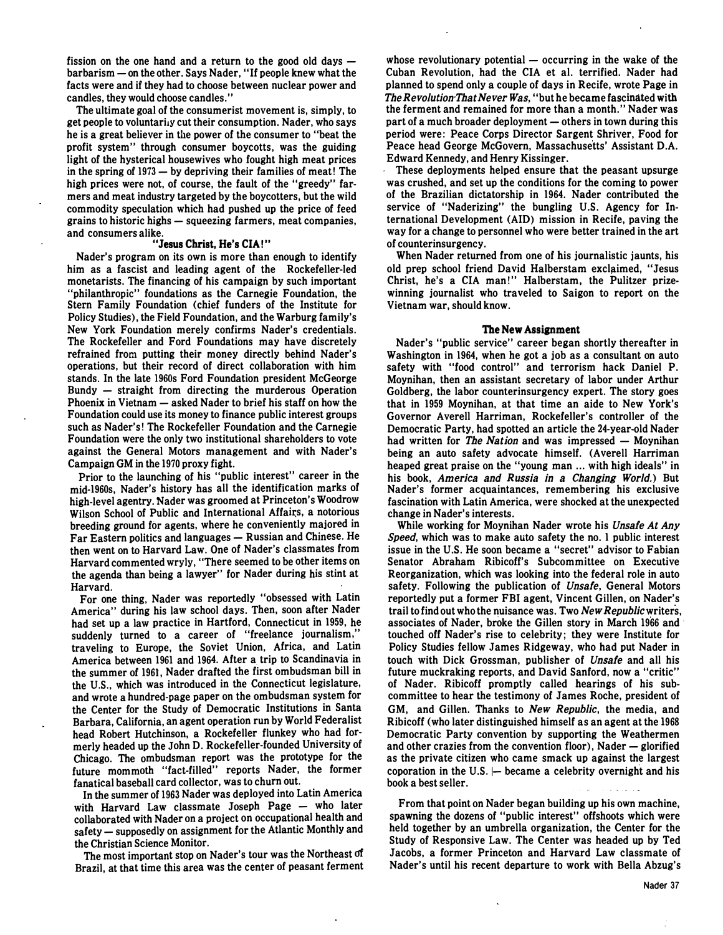fission on the one hand and a return to the good old days barbarism - on the other. Says Nader, "If people knew what the facts were and if they had to choose between nuclear power and candles, they would choose candles."

The ultimate goal of the consumerist movement is, simply, to get people to voluntarily cut their consumption. Nader, who says he is a great believer in the power of the consumer to "beat the profit system" through consumer boycotts, was the guiding light of the hysterical housewives who fought high meat prices in the spring of  $1973 - by$  depriving their families of meat! The high prices were not, of course, the fault of the "greedy" farmers and meat industry targeted by the boycotters, but the wild commodity speculation which had pushed up the price of feed grains to historic highs - squeezing farmers, meat companies, and consumers alike.

# "Jesus Christ, He's CIA!"

Nader's program on its own is more than enough to identify him as a fascist and leading agent of the Rockefeller-led monetarists. The financing of his campaign by such important "philanthropic" foundations as the Carnegie Foundation, the Stem Family Foundation (chief funders of the Institute for Policy Studies), the Field Foundation, and the Warburg family's New York Foundation merely confirms Nader's credentials. The Rockefeller and Ford Foundations may have discretely refrained from putting their money directly behind Nader's operations, but their record of direct collaboration with him stands. In the late 1960s Ford Foundation president McGeorge Bundy - straight from directing the murderous Operation Phoenix in Vietnam - asked Nader to brief his staff on how the Foundation could use its money to finance public interest groups such as Nader's! The Rockefeller Foundation and the Carnegie Foundation were the only two institutional shareholders to vote against the General Motors management and with Nader's Campaign GM in the 1970 proxy fight.

Prior to the launching of his "public interest" career in the mid-1960s, Nader's history has all the identification marks of high-level agentry. Nader was groomed at Princeton's Woodrow Wilson School of Public and International Affairs, a notorious breeding ground for agents, where he conveniently majored in Far Eastern politics and languages - Russian and Chinese. He then went on to Harvard Law. One of Nader's classmates from Harvard commented wryly, "There seemed to be other items on the agenda than being a lawyer" for Nader during his stint at Harvard.

For one thing, Nader was reportedly "obsessed with Latin America" during his law school days. Then, soon after Nader had set up a law practice in Hartford, Connecticut in 1959, he suddenly turned to a career of "freelance journalism," traveling to Europe, the Soviet Union, Africa, and Latin America between 1961 and 1964. After a. trip to Scandinavia in the summer of 1961, Nader drafted the first ombudsman bill in the U.S., which was introduced in the Connecticut legislature, and wrote a hundred-page paper on the ombudsman system for the Center for the Study of Democratic Institutions in Santa Barbara, California, an agent operation run by World Federalist head Robert Hutchinson, a Rockefeller flunkey who had formerly headed up the John D. Rockefeller-founded University of Chicago. The ombudsman report was the prototype for the future mom moth "fact-filled" reports Nader, the former fanatical baseball card collector, was to churn out.

In the summer of 1963 Nader was deployed into Latin America with Harvard Law classmate Joseph Page - who later collaborated with Nader on a project on occupational health and safety — supposedly on assignment for the Atlantic Monthly and the Christian Science Monitor.

The most important stop on Nader's tour was the Northeast of Brazil, at that time this area was the center of peasant ferment

whose revolutionary potential  $-$  occurring in the wake of the Cuban Revolution, had the CIA et al. terrified. Nader had planned to spend only a couple of days in Recife, wrote Page in The Revolution That Never Was, "but he became fascinated with the ferment and remained for more than a month." Nader was part of a much broader deployment - others in town during this period were: Peace Corps Director Sargent Shriver, Food for Peace head George McGovern, Massachusetts' Assistant D.A. Edward Kennedy, and Henry Kissinger.

. These deployments helped ensure that the peasant upsurge was crushed, and set up the conditions for the coming to power of the Brazilian dictatorship in 1964. Nader contributed the service of "Naderizing" the bungling U.S. Agency for International Development (AID) mission in Recife, paving the way for a change to personnel who were better trained in the art of counterinsurgency.

When Nader returned from one of his journalistic jaunts, his old prep school friend David Halberstam exclaimed, "Jesus Christ, he's a CIA man!" Halberstam, the Pulitzer prizewinning journalist who traveled to Saigon to report on the Vietnam war, should know.

#### The New Assignment

Nader's "public service" career began shortly thereafter in Washington in 1964, when he got a job as a consultant on auto safety with "food control" and terrorism hack Daniel P. Moynihan, then an assistant secretary of labor under Arthur Goldberg, the labor counterinsurgency expert. The story goes that in 1959 Moynihan, at that time an aide to New York's Governor Averell Harriman, Rockefeller's controller of the Democratic Party, had spotted an article the 24-year-old Nader had written for The Nation and was impressed  $-$  Moynihan being an auto safety advocate himself. (Averell Harriman heaped great praise on the "young man ... with high ideals" in his book, America and Russia in a Changing World.) But Nader's former acquaintances, remembering his exclusive fascination with Latin America, were shocked at the unexpected change in Nader's interests.

While working for Moynihan Nader wrote his Unsafe At Any Speed, which was to make auto safety the no. 1 public interest issue in the U.S. He soon became a "secret" advisor to Fabian Senator Abraham Ribicoff's Subcommittee on Executive Reorganization, which was looking into the federal role in auto safety. Following the publication of Unsafe, General Motors reportedly put a former FBI agent, Vincent Gillen, on Nader's trail to find out who the nuisance was. Two New Republic writers, associates of Nader, broke the Gillen story in March 1966 and· touched off Nader's rise to celebrity; they were Institute for Policy Studies fellow James Ridgeway, who had put Nader in touch with Dick Grossman, publisher of Unsafe and all his future muckraking reports, and David Sanford, now a "critic" of Nader. Ribicoff promptly called hearings of his subcommittee to hear the testimony of James Roche, president of GM, and Gillen. Thanks to New Republic, the media, and Ribicoff (who later distinguished himself as an agent at the 1968 Democratic Party convention by supporting the Weathermen and other crazies from the convention floor), Nader  $-$  glorified as the private citizen who came smack up against the largest coporation in the U.S.  $\leftarrow$  became a celebrity overnight and his book a best seller.

From that point on Nader began building up his own machine, spawning the dozens of "public interest" offshoots which were held together by an umbrella organization, the Center for the Study of Responsive Law. The Center was headed up by Ted Jacobs, a former Princeton and Harvard Law classmate of Nader's until his recent departure to work with Bella Abzug's